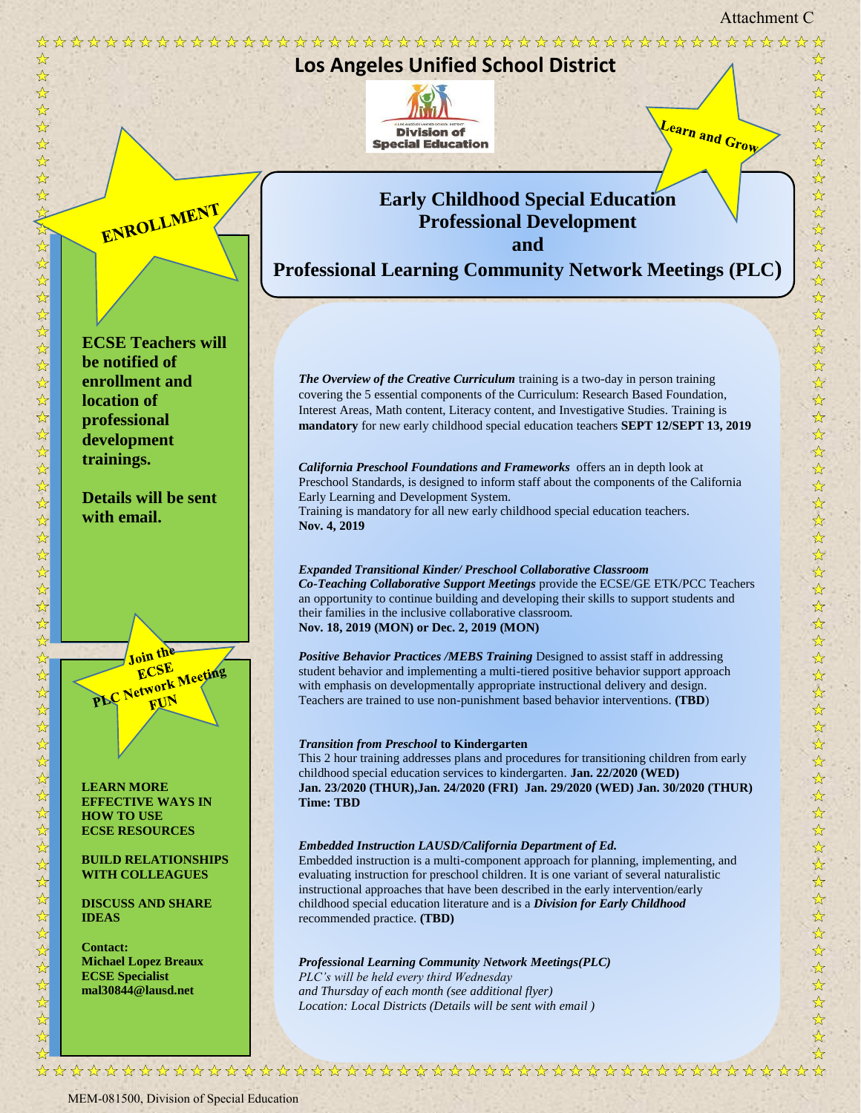Attachment C



MEM-081500, Division of Special Education

\*

 $\frac{1}{\mathcal{N}}$ 

 $\frac{1}{\sqrt{2}}$